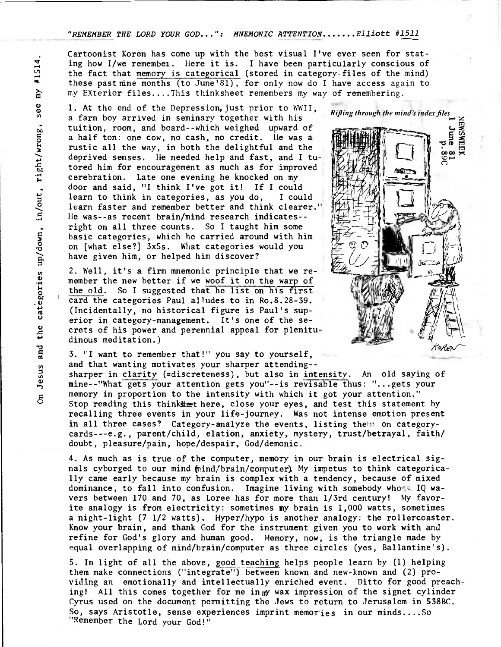## **"REMEMBER** *THE* **LORD YOUR GOD...": MNEMONIC** *ATTENTION Elliott #1511*

Cartoonist Koren has come up with the best visual I've ever seen for stating how I/we remembei. Here it is. I have been particularly conscious of the fact that memory is categorical (stored in category-files of the mind) these pastrine months (to June'81), for only now do I have access again to my EXterior files....This thinksheet remembers my way of remembering.

1. At the end of the Depression, just prior to WWII, a farm boy arrived in seminary together with his tuition, room, and board--which weighed upward of a half ton: one cow, no cash, no credit. He was a rustic all the way, in both the delightful and the deprived senses. He needed help and fast, and I tutored him for encouragement as much as for improved cerebration. Late one evening he knocked on my • door and said, "I think I've got it! If I could learn to think in categories, as you do, I could learn faster and remember better and think clearer." He was--as recent brain/mind research indicates-right on all three counts. So I taught him some basic categories, which he carried around with him on [what else?] 3x5s. What categories would you have given him, or helped him discover?

0 2. Well, it's a firm mnemonic principle that we remember the new better if we woof it on the warp of the old. So I suggested that he list on his first card the categories Paul alludes to in Ro.8.28-39. (Incidentally, no historical figure is Paul's superior in category-management. It's one of the secrets of his power and perennial appeal for plenitudinous meditation.)

3. "I want to remember that!" you say to yourself,

and that wanting motivates your sharper attending- sharper in clarity (=discreteness), but also in intensity. An old saying of mine--"What gets your attention gets you"--is revisable thus: "...gets your memory in proportion to the intensity with which it got your attention." Stop reading this thinking there, close your eyes, and test this statement by recalling three events in your life-journey. Was not intense emotion present in all three cases? Category-analyze the events, listing the  $m$  on categorycards---e.g., parent/child, elation, anxiety, mystery, trust/betrayal, faith/ doubt, pleasure/pain, hope/despair, God/demonic.

4. As much as is true of the computer, memory in our brain is electrical signals cyborged to our mind (mind/brain/computer). My impetus to think categorically came early because my brain is complex with a tendency, because of mixed dominance, to fall into confusion. Imagine living with somebody whose IQ wavers between 170 and 70, as Loree has for more than 1/3rd century! My favorite analogy is from electricity: sometimes my brain is 1,000 watts, sometimes a night-light (7 1/2 watts). Hyper/hypo is another analogy: the rollercoaster. Know your brain, and thank God for the instrument given you to work with and refine for God's glory and human good. Memory, now, is the triangle made by equal overlapping of mind/brain/computer as three circles (yes, Ballantine's).

5. In light of all the above, good teaching helps people learn by (1) helping them make connections ("integrate") between known and new-known and (2) providing an emotionally and intellectually enriched event. Ditto for good preaching! All this comes together for me in  $m$  wax impression of the signet cylinder Cyrus used on the document permitting the Jews to return to Jerusalem in 538BC. So, says Aristotle, sense experiences imprint memories in our minds....So "Remember the Lord your God!"



 $\Lambda$ o $\kappa$ F